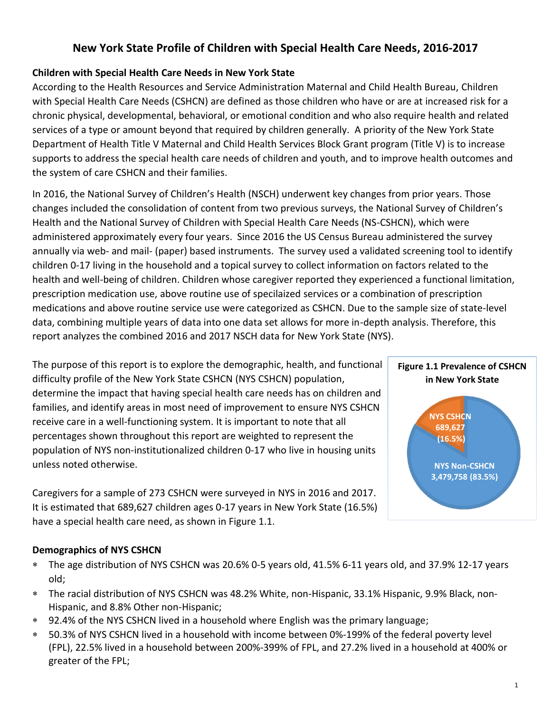# **New York State Profile of Children with Special Health Care Needs, 2016-2017**

# **Children with Special Health Care Needs in New York State**

According to the Health Resources and Service Administration Maternal and Child Health Bureau, Children with Special Health Care Needs (CSHCN) are defined as those children who have or are at increased risk for a chronic physical, developmental, behavioral, or emotional condition and who also require health and related services of a type or amount beyond that required by children generally. A priority of the New York State Department of Health Title V Maternal and Child Health Services Block Grant program (Title V) is to increase supports to address the special health care needs of children and youth, and to improve health outcomes and the system of care CSHCN and their families.

In 2016, the National Survey of Children's Health (NSCH) underwent key changes from prior years. Those changes included the consolidation of content from two previous surveys, the National Survey of Children's Health and the National Survey of Children with Special Health Care Needs (NS-CSHCN), which were administered approximately every four years. Since 2016 the US Census Bureau administered the survey annually via web- and mail- (paper) based instruments. The survey used a validated screening tool to identify children 0-17 living in the household and a topical survey to collect information on factors related to the health and well-being of children. Children whose caregiver reported they experienced a functional limitation, prescription medication use, above routine use of specilaized services or a combination of prescription medications and above routine service use were categorized as CSHCN. Due to the sample size of state-level data, combining multiple years of data into one data set allows for more in-depth analysis. Therefore, this report analyzes the combined 2016 and 2017 NSCH data for New York State (NYS).

The purpose of this report is to explore the demographic, health, and functional difficulty profile of the New York State CSHCN (NYS CSHCN) population, determine the impact that having special health care needs has on children and families, and identify areas in most need of improvement to ensure NYS CSHCN receive care in a well-functioning system. It is important to note that all percentages shown throughout this report are weighted to represent the population of NYS non-institutionalized children 0-17 who live in housing units unless noted otherwise.



Caregivers for a sample of 273 CSHCN were surveyed in NYS in 2016 and 2017. It is estimated that 689,627 children ages 0-17 years in New York State (16.5%) have a special health care need, as shown in Figure 1.1.

# **Demographics of NYS CSHCN**

- The age distribution of NYS CSHCN was 20.6% 0-5 years old, 41.5% 6-11 years old, and 37.9% 12-17 years old;
- The racial distribution of NYS CSHCN was 48.2% White, non-Hispanic, 33.1% Hispanic, 9.9% Black, non-Hispanic, and 8.8% Other non-Hispanic;
- 92.4% of the NYS CSHCN lived in a household where English was the primary language;
- 50.3% of NYS CSHCN lived in a household with income between 0%-199% of the federal poverty level (FPL), 22.5% lived in a household between 200%-399% of FPL, and 27.2% lived in a household at 400% or greater of the FPL;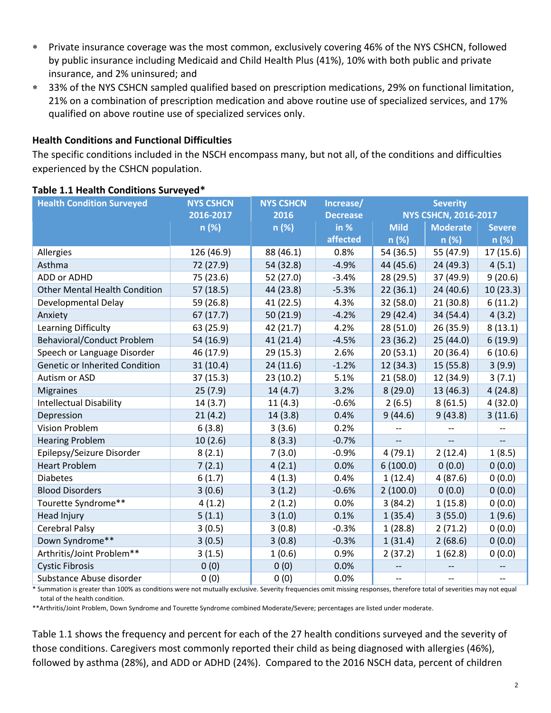- Private insurance coverage was the most common, exclusively covering 46% of the NYS CSHCN, followed by public insurance including Medicaid and Child Health Plus (41%), 10% with both public and private insurance, and 2% uninsured; and
- 33% of the NYS CSHCN sampled qualified based on prescription medications, 29% on functional limitation, 21% on a combination of prescription medication and above routine use of specialized services, and 17% qualified on above routine use of specialized services only.

### **Health Conditions and Functional Difficulties**

The specific conditions included in the NSCH encompass many, but not all, of the conditions and difficulties experienced by the CSHCN population.

| <b>Health Condition Surveyed</b>     | <b>NYS CSHCN</b> | <b>NYS CSHCN</b> | Increase/       | <b>Severity</b>             |                 |                          |
|--------------------------------------|------------------|------------------|-----------------|-----------------------------|-----------------|--------------------------|
|                                      | 2016-2017        | 2016             | <b>Decrease</b> | <b>NYS CSHCN, 2016-2017</b> |                 |                          |
|                                      | n (%)            | n (%)            | in %            | <b>Mild</b>                 | <b>Moderate</b> | <b>Severe</b>            |
|                                      |                  |                  | affected        | n (%)                       | n (%)           | n (%)                    |
| Allergies                            | 126 (46.9)       | 88 (46.1)        | 0.8%            | 54 (36.5)                   | 55 (47.9)       | 17(15.6)                 |
| Asthma                               | 72 (27.9)        | 54 (32.8)        | $-4.9%$         | 44 (45.6)                   | 24 (49.3)       | 4(5.1)                   |
| ADD or ADHD                          | 75 (23.6)        | 52 (27.0)        | $-3.4%$         | 28 (29.5)                   | 37 (49.9)       | 9(20.6)                  |
| <b>Other Mental Health Condition</b> | 57(18.5)         | 44 (23.8)        | $-5.3%$         | 22(36.1)                    | 24 (40.6)       | 10(23.3)                 |
| Developmental Delay                  | 59 (26.8)        | 41 (22.5)        | 4.3%            | 32 (58.0)                   | 21(30.8)        | 6(11.2)                  |
| Anxiety                              | 67(17.7)         | 50 (21.9)        | $-4.2%$         | 29 (42.4)                   | 34 (54.4)       | 4(3.2)                   |
| Learning Difficulty                  | 63 (25.9)        | 42 (21.7)        | 4.2%            | 28 (51.0)                   | 26(35.9)        | 8(13.1)                  |
| <b>Behavioral/Conduct Problem</b>    | 54 (16.9)        | 41 (21.4)        | $-4.5%$         | 23(36.2)                    | 25(44.0)        | 6(19.9)                  |
| Speech or Language Disorder          | 46 (17.9)        | 29 (15.3)        | 2.6%            | 20(53.1)                    | 20(36.4)        | 6(10.6)                  |
| Genetic or Inherited Condition       | 31(10.4)         | 24(11.6)         | $-1.2%$         | 12 (34.3)                   | 15(55.8)        | 3(9.9)                   |
| Autism or ASD                        | 37(15.3)         | 23(10.2)         | 5.1%            | 21(58.0)                    | 12 (34.9)       | 3(7.1)                   |
| <b>Migraines</b>                     | 25(7.9)          | 14(4.7)          | 3.2%            | 8(29.0)                     | 13 (46.3)       | 4(24.8)                  |
| <b>Intellectual Disability</b>       | 14(3.7)          | 11(4.3)          | $-0.6%$         | 2(6.5)                      | 8(61.5)         | 4(32.0)                  |
| Depression                           | 21(4.2)          | 14(3.8)          | 0.4%            | 9(44.6)                     | 9(43.8)         | 3(11.6)                  |
| Vision Problem                       | 6(3.8)           | 3(3.6)           | 0.2%            |                             |                 |                          |
| <b>Hearing Problem</b>               | 10(2.6)          | 8(3.3)           | $-0.7%$         |                             |                 |                          |
| Epilepsy/Seizure Disorder            | 8(2.1)           | 7(3.0)           | $-0.9%$         | 4(79.1)                     | 2(12.4)         | 1(8.5)                   |
| <b>Heart Problem</b>                 | 7(2.1)           | 4(2.1)           | 0.0%            | 6(100.0)                    | 0(0.0)          | 0(0.0)                   |
| <b>Diabetes</b>                      | 6(1.7)           | 4(1.3)           | 0.4%            | 1(12.4)                     | 4(87.6)         | 0(0.0)                   |
| <b>Blood Disorders</b>               | 3(0.6)           | 3(1.2)           | $-0.6%$         | 2(100.0)                    | 0(0.0)          | 0(0.0)                   |
| Tourette Syndrome**                  | 4(1.2)           | 2(1.2)           | 0.0%            | 3(84.2)                     | 1(15.8)         | 0(0.0)                   |
| <b>Head Injury</b>                   | 5(1.1)           | 3(1.0)           | 0.1%            | 1(35.4)                     | 3(55.0)         | 1(9.6)                   |
| Cerebral Palsy                       | 3(0.5)           | 3(0.8)           | $-0.3%$         | 1(28.8)                     | 2(71.2)         | 0(0.0)                   |
| Down Syndrome**                      | 3(0.5)           | 3(0.8)           | $-0.3%$         | 1(31.4)                     | 2(68.6)         | 0(0.0)                   |
| Arthritis/Joint Problem**            | 3(1.5)           | 1(0.6)           | 0.9%            | 2(37.2)                     | 1(62.8)         | 0(0.0)                   |
| <b>Cystic Fibrosis</b>               | 0(0)             | 0(0)             | 0.0%            | --                          |                 |                          |
| Substance Abuse disorder             | 0(0)             | 0(0)             | 0.0%            | $\overline{\phantom{a}}$    | --              | $\overline{\phantom{a}}$ |

### **Table 1.1 Health Conditions Surveyed\***

\* Summation is greater than 100% as conditions were not mutually exclusive. Severity frequencies omit missing responses, therefore total of severities may not equal total of the health condition.

\*\*Arthritis/Joint Problem, Down Syndrome and Tourette Syndrome combined Moderate/Severe; percentages are listed under moderate.

Table 1.1 shows the frequency and percent for each of the 27 health conditions surveyed and the severity of those conditions. Caregivers most commonly reported their child as being diagnosed with allergies (46%), followed by asthma (28%), and ADD or ADHD (24%). Compared to the 2016 NSCH data, percent of children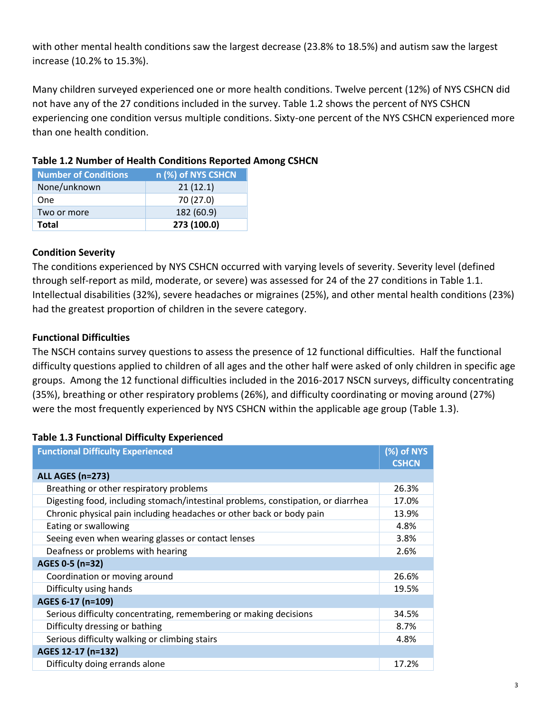with other mental health conditions saw the largest decrease (23.8% to 18.5%) and autism saw the largest increase (10.2% to 15.3%).

Many children surveyed experienced one or more health conditions. Twelve percent (12%) of NYS CSHCN did not have any of the 27 conditions included in the survey. Table 1.2 shows the percent of NYS CSHCN experiencing one condition versus multiple conditions. Sixty-one percent of the NYS CSHCN experienced more than one health condition.

| <b>Number of Conditions</b> | n (%) of NYS CSHCN |
|-----------------------------|--------------------|
| None/unknown                | 21(12.1)           |
| <b>One</b>                  | 70 (27.0)          |
| Two or more                 | 182 (60.9)         |
| <b>Total</b>                | 273 (100.0)        |

### **Table 1.2 Number of Health Conditions Reported Among CSHCN**

### **Condition Severity**

The conditions experienced by NYS CSHCN occurred with varying levels of severity. Severity level (defined through self-report as mild, moderate, or severe) was assessed for 24 of the 27 conditions in Table 1.1. Intellectual disabilities (32%), severe headaches or migraines (25%), and other mental health conditions (23%) had the greatest proportion of children in the severe category.

### **Functional Difficulties**

The NSCH contains survey questions to assess the presence of 12 functional difficulties. Half the functional difficulty questions applied to children of all ages and the other half were asked of only children in specific age groups. Among the 12 functional difficulties included in the 2016-2017 NSCN surveys, difficulty concentrating (35%), breathing or other respiratory problems (26%), and difficulty coordinating or moving around (27%) were the most frequently experienced by NYS CSHCN within the applicable age group (Table 1.3).

#### **Table 1.3 Functional Difficulty Experienced**

| <b>Functional Difficulty Experienced</b>                                         | $(%)$ of NYS |
|----------------------------------------------------------------------------------|--------------|
|                                                                                  | <b>CSHCN</b> |
| <b>ALL AGES (n=273)</b>                                                          |              |
| Breathing or other respiratory problems                                          | 26.3%        |
| Digesting food, including stomach/intestinal problems, constipation, or diarrhea | 17.0%        |
| Chronic physical pain including headaches or other back or body pain             | 13.9%        |
| Eating or swallowing                                                             | 4.8%         |
| Seeing even when wearing glasses or contact lenses                               | 3.8%         |
| Deafness or problems with hearing                                                | 2.6%         |
| AGES 0-5 (n=32)                                                                  |              |
| Coordination or moving around                                                    | 26.6%        |
| Difficulty using hands                                                           | 19.5%        |
| AGES 6-17 (n=109)                                                                |              |
| Serious difficulty concentrating, remembering or making decisions                | 34.5%        |
| Difficulty dressing or bathing                                                   | 8.7%         |
| Serious difficulty walking or climbing stairs                                    | 4.8%         |
| AGES 12-17 (n=132)                                                               |              |
| Difficulty doing errands alone                                                   | 17.2%        |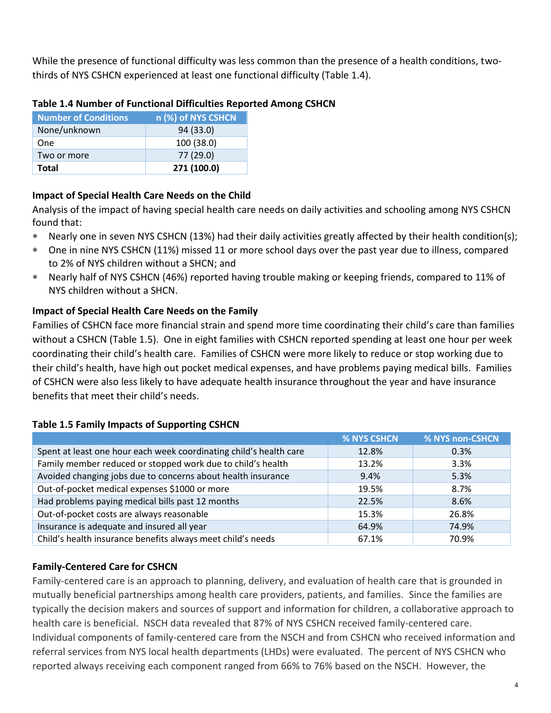While the presence of functional difficulty was less common than the presence of a health conditions, twothirds of NYS CSHCN experienced at least one functional difficulty (Table 1.4).

| <b>Number of Conditions</b> | n (%) of NYS CS <u>HCN</u> |
|-----------------------------|----------------------------|
| None/unknown                | 94 (33.0)                  |
| One                         | 100 (38.0)                 |
| Two or more                 | 77 (29.0)                  |
| Total                       | 271 (100.0)                |

### **Table 1.4 Number of Functional Difficulties Reported Among CSHCN**

### **Impact of Special Health Care Needs on the Child**

Analysis of the impact of having special health care needs on daily activities and schooling among NYS CSHCN found that:

- Nearly one in seven NYS CSHCN (13%) had their daily activities greatly affected by their health condition(s);
- One in nine NYS CSHCN (11%) missed 11 or more school days over the past year due to illness, compared to 2% of NYS children without a SHCN; and
- Nearly half of NYS CSHCN (46%) reported having trouble making or keeping friends, compared to 11% of NYS children without a SHCN.

# **Impact of Special Health Care Needs on the Family**

Families of CSHCN face more financial strain and spend more time coordinating their child's care than families without a CSHCN (Table 1.5). One in eight families with CSHCN reported spending at least one hour per week coordinating their child's health care. Families of CSHCN were more likely to reduce or stop working due to their child's health, have high out pocket medical expenses, and have problems paying medical bills. Families of CSHCN were also less likely to have adequate health insurance throughout the year and have insurance benefits that meet their child's needs.

|                                                                    | % NYS CSHCN | % NYS non-CSHCN |
|--------------------------------------------------------------------|-------------|-----------------|
| Spent at least one hour each week coordinating child's health care | 12.8%       | 0.3%            |
| Family member reduced or stopped work due to child's health        | 13.2%       | 3.3%            |
| Avoided changing jobs due to concerns about health insurance       | 9.4%        | 5.3%            |
| Out-of-pocket medical expenses \$1000 or more                      | 19.5%       | 8.7%            |
| Had problems paying medical bills past 12 months                   | 22.5%       | 8.6%            |
| Out-of-pocket costs are always reasonable                          | 15.3%       | 26.8%           |
| Insurance is adequate and insured all year                         | 64.9%       | 74.9%           |
| Child's health insurance benefits always meet child's needs        | 67.1%       | 70.9%           |

#### **Table 1.5 Family Impacts of Supporting CSHCN**

### **Family-Centered Care for CSHCN**

Family-centered care is an approach to planning, delivery, and evaluation of health care that is grounded in mutually beneficial partnerships among health care providers, patients, and families. Since the families are typically the decision makers and sources of support and information for children, a collaborative approach to health care is beneficial. NSCH data revealed that 87% of NYS CSHCN received family-centered care. Individual components of family-centered care from the NSCH and from CSHCN who received information and referral services from NYS local health departments (LHDs) were evaluated. The percent of NYS CSHCN who reported always receiving each component ranged from 66% to 76% based on the NSCH. However, the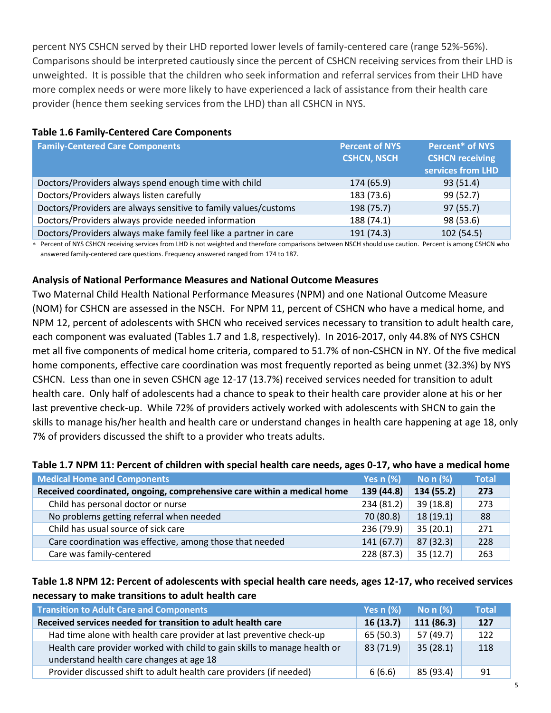percent NYS CSHCN served by their LHD reported lower levels of family-centered care (range 52%-56%). Comparisons should be interpreted cautiously since the percent of CSHCN receiving services from their LHD is unweighted. It is possible that the children who seek information and referral services from their LHD have more complex needs or were more likely to have experienced a lack of assistance from their health care provider (hence them seeking services from the LHD) than all CSHCN in NYS.

| <b>Family-Centered Care Components</b>                           | <b>Percent of NYS</b><br><b>CSHCN, NSCH</b> | <b>Percent* of NYS</b><br><b>CSHCN receiving</b><br>services from LHD |
|------------------------------------------------------------------|---------------------------------------------|-----------------------------------------------------------------------|
| Doctors/Providers always spend enough time with child            | 174 (65.9)                                  | 93(51.4)                                                              |
| Doctors/Providers always listen carefully                        | 183 (73.6)                                  | 99 (52.7)                                                             |
| Doctors/Providers are always sensitive to family values/customs  | 198 (75.7)                                  | 97(55.7)                                                              |
| Doctors/Providers always provide needed information              | 188 (74.1)                                  | 98 (53.6)                                                             |
| Doctors/Providers always make family feel like a partner in care | 191 (74.3)                                  | 102 (54.5)                                                            |

#### **Table 1.6 Family-Centered Care Components**

 Percent of NYS CSHCN receiving services from LHD is not weighted and therefore comparisons between NSCH should use caution. Percent is among CSHCN who answered family-centered care questions. Frequency answered ranged from 174 to 187.

### **Analysis of National Performance Measures and National Outcome Measures**

Two Maternal Child Health National Performance Measures (NPM) and one National Outcome Measure (NOM) for CSHCN are assessed in the NSCH. For NPM 11, percent of CSHCN who have a medical home, and NPM 12, percent of adolescents with SHCN who received services necessary to transition to adult health care, each component was evaluated (Tables 1.7 and 1.8, respectively). In 2016-2017, only 44.8% of NYS CSHCN met all five components of medical home criteria, compared to 51.7% of non-CSHCN in NY. Of the five medical home components, effective care coordination was most frequently reported as being unmet (32.3%) by NYS CSHCN. Less than one in seven CSHCN age 12-17 (13.7%) received services needed for transition to adult health care. Only half of adolescents had a chance to speak to their health care provider alone at his or her last preventive check-up. While 72% of providers actively worked with adolescents with SHCN to gain the skills to manage his/her health and health care or understand changes in health care happening at age 18, only 7% of providers discussed the shift to a provider who treats adults.

#### **Table 1.7 NPM 11: Percent of children with special health care needs, ages 0-17, who have a medical home**

| Medical Home and Components                                             | Yes $n$ $%$ | No $n$ $%$ | <b>Total</b> |
|-------------------------------------------------------------------------|-------------|------------|--------------|
| Received coordinated, ongoing, comprehensive care within a medical home | 139 (44.8)  | 134 (55.2) | 273          |
| Child has personal doctor or nurse                                      | 234 (81.2)  | 39(18.8)   | 273          |
| No problems getting referral when needed                                | 70 (80.8)   | 18(19.1)   | 88           |
| Child has usual source of sick care                                     | 236 (79.9)  | 35(20.1)   | 271          |
| Care coordination was effective, among those that needed                | 141(67.7)   | 87(32.3)   | 228          |
| Care was family-centered                                                | 228 (87.3)  | 35(12.7)   | 263          |

### **Table 1.8 NPM 12: Percent of adolescents with special health care needs, ages 12-17, who received services necessary to make transitions to adult health care**

| <b>Transition to Adult Care and Components</b>                                                                        | Yes $n$ $%$ | No $n$ $%$ | <b>Total</b> |
|-----------------------------------------------------------------------------------------------------------------------|-------------|------------|--------------|
| Received services needed for transition to adult health care                                                          |             | 111 (86.3) | 127          |
| Had time alone with health care provider at last preventive check-up                                                  | 65 (50.3)   | 57 (49.7)  | 122          |
| Health care provider worked with child to gain skills to manage health or<br>understand health care changes at age 18 | 83 (71.9)   | 35(28.1)   | 118          |
| Provider discussed shift to adult health care providers (if needed)                                                   | 6(6.6)      | 85 (93.4)  | -91          |